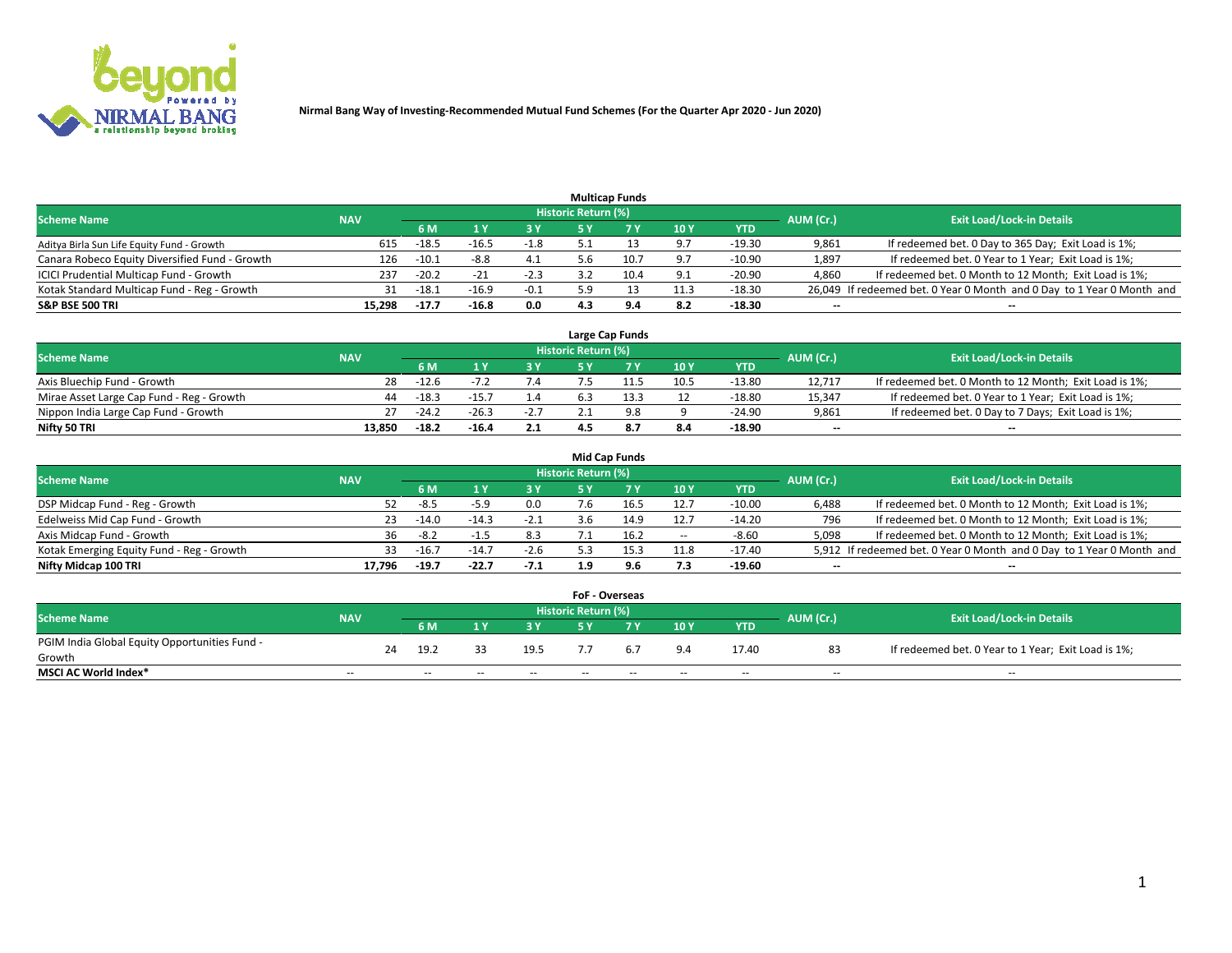

|                                                |            |                |         |        |                     | <b>Multicap Funds</b> |      |            |           |                                                                        |
|------------------------------------------------|------------|----------------|---------|--------|---------------------|-----------------------|------|------------|-----------|------------------------------------------------------------------------|
| <b>Scheme Name</b>                             | <b>NAV</b> |                |         |        | Historic Return (%) |                       |      |            | AUM (Cr.) | <b>Exit Load/Lock-in Details</b>                                       |
|                                                |            | 6 M            |         |        | <b>EV</b>           |                       | 10Y  | <b>YTD</b> |           |                                                                        |
| Aditya Birla Sun Life Equity Fund - Growth     |            | $-18.5$<br>615 | $-16.5$ | $-1.8$ |                     |                       | 9.7  | $-19.30$   | 9,861     | If redeemed bet. 0 Day to 365 Day; Exit Load is 1%;                    |
| Canara Robeco Equity Diversified Fund - Growth |            | $-10.1$<br>126 | $-8.8$  | 4.1    | .b                  | 10.7                  | 9.7  | $-10.90$   | 1,897     | If redeemed bet. 0 Year to 1 Year; Exit Load is 1%;                    |
| ICICI Prudential Multicap Fund - Growth        |            | $-20.2$<br>237 | $-21$   | $-2.3$ |                     | 10.4                  | 9.1  | $-20.90$   | 4,860     | If redeemed bet. 0 Month to 12 Month; Exit Load is 1%;                 |
| Kotak Standard Multicap Fund - Reg - Growth    |            | $-18.1$<br>31  | $-16.9$ | $-0.1$ | 5.9                 |                       | 11.3 | $-18.30$   |           | 26,049 If redeemed bet. 0 Year 0 Month and 0 Day to 1 Year 0 Month and |
| <b>S&amp;P BSE 500 TRI</b>                     | 15,298     | $-17.7$        | $-16.8$ | 0.0    | 4.3                 |                       | 8.2  | $-18.30$   | $- -$     | $\overline{\phantom{a}}$                                               |

|                                           |            |         |         |        |                     | Large Cap Funds |      |          |                          |                                                        |
|-------------------------------------------|------------|---------|---------|--------|---------------------|-----------------|------|----------|--------------------------|--------------------------------------------------------|
| <b>Scheme Name</b>                        | <b>NAV</b> |         |         |        | Historic Return (%) |                 |      |          | AUM (Cr.)                | <b>Exit Load/Lock-in Details</b>                       |
|                                           |            |         |         |        |                     |                 | 10Y  | YTD      |                          |                                                        |
| Axis Bluechip Fund - Growth               | 28         | $-12.6$ |         | 7.4    |                     | 11.5            | 10.5 | $-13.80$ | 12.717                   | If redeemed bet. 0 Month to 12 Month; Exit Load is 1%; |
| Mirae Asset Large Cap Fund - Reg - Growth | 44         | $-18.3$ | $-15.$  | 1.4    |                     |                 | 12   | $-18.80$ | 15,347                   | If redeemed bet. 0 Year to 1 Year; Exit Load is 1%;    |
| Nippon India Large Cap Fund - Growth      |            | $-24.2$ | $-26.3$ | $-2.7$ |                     |                 |      | $-24.90$ | 9,861                    | If redeemed bet. 0 Day to 7 Days; Exit Load is 1%;     |
| Nifty 50 TRI                              | 13.850     | $-18.2$ | -16.4   | 2.1    |                     |                 | 8.4  | $-18.90$ | $\overline{\phantom{a}}$ | --                                                     |

|                                           |            |         |         |        |                     | Mid Cap Funds |                          |            |                          |                                                                       |
|-------------------------------------------|------------|---------|---------|--------|---------------------|---------------|--------------------------|------------|--------------------------|-----------------------------------------------------------------------|
| <b>Scheme Name</b>                        | <b>NAV</b> |         |         |        | Historic Return (%) |               |                          |            | AUM (Cr.)                | <b>Exit Load/Lock-in Details</b>                                      |
|                                           |            | 6 M     |         | 3 Y    |                     |               | 10Y                      | <b>YTD</b> |                          |                                                                       |
| DSP Midcap Fund - Reg - Growth            | 52.        | -8.5    | $-5.9$  | 0.0    | .6                  |               | 12.7                     | $-10.00$   | 6,488                    | If redeemed bet. 0 Month to 12 Month; Exit Load is 1%;                |
| Edelweiss Mid Cap Fund - Growth           | 23.        | $-14.0$ | $-14.3$ | $-2.1$ | 3.6                 | 14.9          | 12.7                     | $-14.20$   | 796                      | If redeemed bet. 0 Month to 12 Month; Exit Load is 1%;                |
| Axis Midcap Fund - Growth                 |            | -8.2    | -1.3    | 8.3    |                     |               | $\overline{\phantom{a}}$ | $-8.60$    | 5,098                    | If redeemed bet. 0 Month to 12 Month; Exit Load is 1%;                |
| Kotak Emerging Equity Fund - Reg - Growth | 33.        | $-16.7$ | $-14.7$ | $-2.6$ | 5.3                 | 15.3          | 11.8                     | $-17.40$   |                          | 5,912 If redeemed bet. 0 Year 0 Month and 0 Day to 1 Year 0 Month and |
| Nifty Midcap 100 TRI                      | 17.796     | $-19.7$ | $-22.7$ | $-7.1$ | 1.9                 | 9.6           | 7.3                      | $-19.60$   | $\overline{\phantom{a}}$ | $- -$                                                                 |

|                                               |            |    |                          |       |            | <b>FoF - Overseas</b> |       |            |            |           |                                                     |  |
|-----------------------------------------------|------------|----|--------------------------|-------|------------|-----------------------|-------|------------|------------|-----------|-----------------------------------------------------|--|
| <b>Scheme Name</b>                            |            |    |                          |       |            | Historic Return (%)   |       |            |            | AUM (Cr.) | <b>Exit Load/Lock-in Details</b>                    |  |
|                                               | <b>NAV</b> |    | 6 M                      |       | 3 Y        |                       | 7 V   | 10Y        | <b>YTD</b> |           |                                                     |  |
| PGIM India Global Equity Opportunities Fund - |            | 24 | 19.2                     |       | 19.5       |                       | 6.7   | 9.4        | 17.40      | 83        | If redeemed bet. 0 Year to 1 Year; Exit Load is 1%; |  |
| Growth                                        |            |    |                          |       |            |                       |       |            |            |           |                                                     |  |
| <b>MSCI AC World Index*</b>                   | $\sim$ $-$ |    | $\overline{\phantom{a}}$ | $- -$ | $\sim$ $-$ | $- -$                 | $- -$ | $\sim$ $-$ | $\sim$     | $\sim$    | $\sim$                                              |  |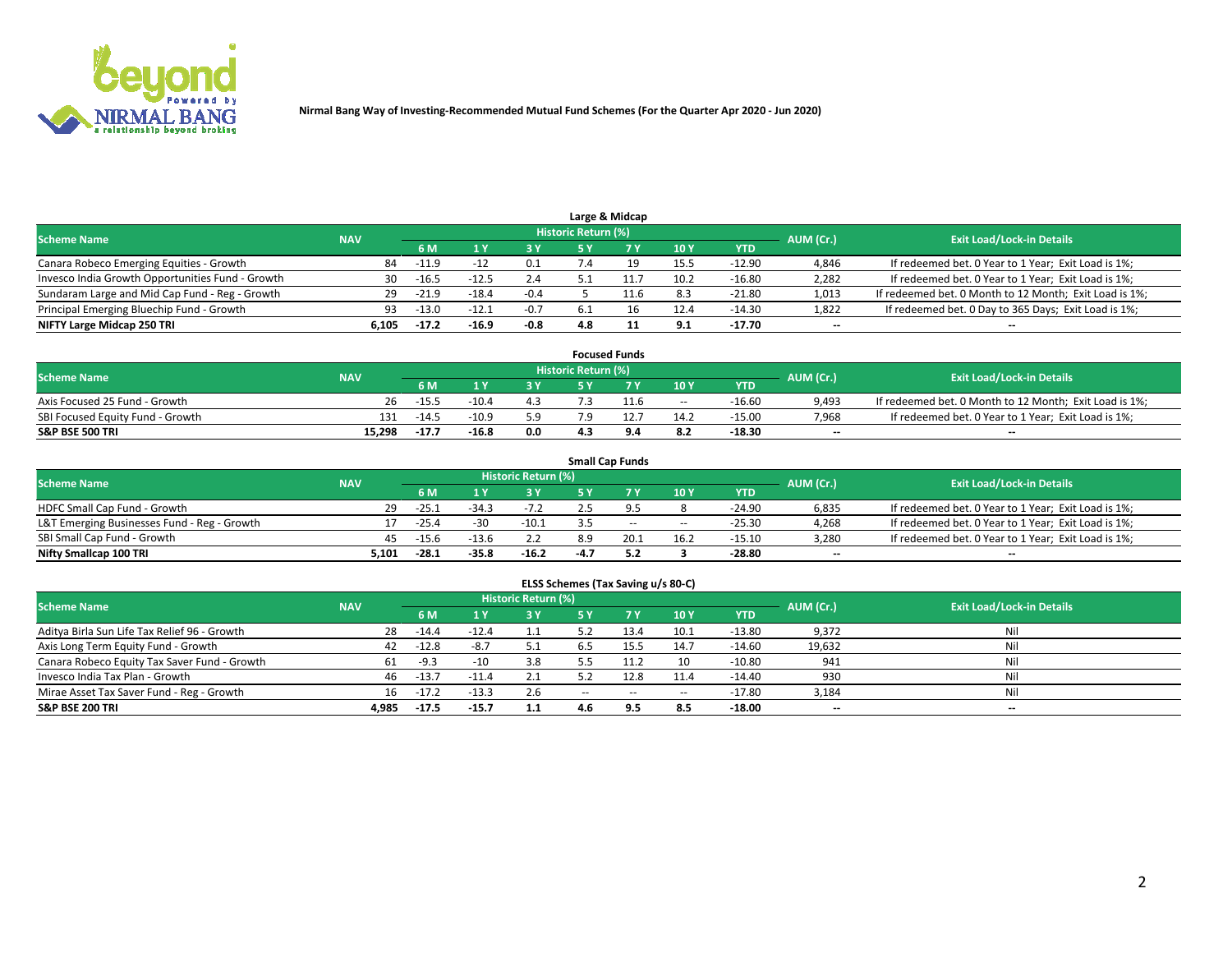

| Large & Midcap                                   |            |         |         |        |                     |  |      |            |           |                                                        |  |  |  |
|--------------------------------------------------|------------|---------|---------|--------|---------------------|--|------|------------|-----------|--------------------------------------------------------|--|--|--|
| <b>Scheme Name</b>                               | <b>NAV</b> |         |         |        | Historic Return (%) |  |      |            | AUM (Cr.) | <b>Exit Load/Lock-in Details</b>                       |  |  |  |
|                                                  |            | 6 M     |         | ט כ    |                     |  | 10Y  | <b>YTD</b> |           |                                                        |  |  |  |
| Canara Robeco Emerging Equities - Growth         | 84         | $-11.9$ | $-17$   | 0.1    |                     |  | 15.5 | $-12.90$   | 4,846     | If redeemed bet. 0 Year to 1 Year; Exit Load is 1%;    |  |  |  |
| Invesco India Growth Opportunities Fund - Growth | 30-        | $-16.5$ | $-12.5$ | 2.4    |                     |  | 10.2 | $-16.80$   | 2,282     | If redeemed bet. 0 Year to 1 Year; Exit Load is 1%;    |  |  |  |
| Sundaram Large and Mid Cap Fund - Reg - Growth   | 29.        | $-21.9$ | $-18.4$ | $-0.4$ |                     |  | 8.3  | $-21.80$   | 1,013     | If redeemed bet. 0 Month to 12 Month; Exit Load is 1%; |  |  |  |
| Principal Emerging Bluechip Fund - Growth        | 93         | $-13.0$ | $-12.1$ | $-0.7$ | 6.1                 |  | 12.4 | $-14.30$   | 1,822     | If redeemed bet. 0 Day to 365 Days; Exit Load is 1%;   |  |  |  |
| NIFTY Large Midcap 250 TRI                       | 6.105      | $-17.2$ | $-16.9$ | $-0.8$ | 4.8                 |  | 9.1  | $-17.70$   | $- -$     | $- -$                                                  |  |  |  |

| <b>Focused Funds</b>             |            |         |         |     |                     |      |       |            |           |                                                        |  |  |
|----------------------------------|------------|---------|---------|-----|---------------------|------|-------|------------|-----------|--------------------------------------------------------|--|--|
| <b>Scheme Name</b>               | <b>NAV</b> |         |         |     | Historic Return (%) |      |       |            | AUM (Cr.) | <b>Exit Load/Lock-in Details</b>                       |  |  |
|                                  |            | 6 M     |         |     |                     |      | 10Y   | <b>YTD</b> |           |                                                        |  |  |
| Axis Focused 25 Fund - Growth    | 26.        | $-15.5$ | $-10.4$ | 4.3 |                     |      | $- -$ | $-16.60$   | 9.493     | If redeemed bet. 0 Month to 12 Month; Exit Load is 1%; |  |  |
| SBI Focused Equity Fund - Growth | 131        | $-14.5$ | $-10.9$ | 5.9 |                     | 12.7 | 14.2  | $-15.00$   | 7,968     | If redeemed bet. 0 Year to 1 Year; Exit Load is 1%;    |  |  |
| <b>S&amp;P BSE 500 TRI</b>       | 15.298     | $-17.7$ | $-16.8$ | 0.0 |                     |      | 8.2   | $-18.30$   | $- -$     | $-$                                                    |  |  |

| <b>Small Cap Funds</b>                      |            |         |         |                            |      |       |            |            |                          |                                                     |  |  |
|---------------------------------------------|------------|---------|---------|----------------------------|------|-------|------------|------------|--------------------------|-----------------------------------------------------|--|--|
| <b>Scheme Name</b>                          | <b>NAV</b> |         |         | <b>Historic Return (%)</b> |      |       |            |            | AUM (Cr.)                | <b>Exit Load/Lock-in Details</b>                    |  |  |
|                                             |            | 6 M     |         | 3 Y                        |      |       | 10Y        | <b>YTD</b> |                          |                                                     |  |  |
| HDFC Small Cap Fund - Growth                | 29.        | $-25.$  | $-34.3$ | $-7.2$                     |      |       |            | $-24.90$   | 6,835                    | If redeemed bet. 0 Year to 1 Year; Exit Load is 1%; |  |  |
| L&T Emerging Businesses Fund - Reg - Growth |            | $-25.4$ | $-30$   | $-10.1$                    |      | $- -$ | $\sim$ $-$ | $-25.30$   | 4,268                    | If redeemed bet. 0 Year to 1 Year; Exit Load is 1%; |  |  |
| SBI Small Cap Fund - Growth                 | 45         | $-15.6$ | $-13.6$ |                            | 8.9  | 20.1  | 16.2       | $-15.10$   | 3,280                    | If redeemed bet. 0 Year to 1 Year; Exit Load is 1%; |  |  |
| Nifty Smallcap 100 TRI                      | 5.101      | $-28.1$ | $-35.8$ | $-16.2$                    | -4.7 |       |            | -28.80     | $\overline{\phantom{a}}$ | $\overline{\phantom{a}}$                            |  |  |

| ELSS Schemes (Tax Saving u/s 80-C) |  |  |
|------------------------------------|--|--|
|------------------------------------|--|--|

| <b>Scheme Name</b>                           | <b>NAV</b> |         |         | <b>Historic Return (%)</b> |     |       |            |            | AUM (Cr.)                | <b>Exit Load/Lock-in Details</b> |
|----------------------------------------------|------------|---------|---------|----------------------------|-----|-------|------------|------------|--------------------------|----------------------------------|
|                                              |            | 6 M     |         | 3Y                         |     | 7Y    | 10Y        | <b>YTD</b> |                          |                                  |
| Aditya Birla Sun Life Tax Relief 96 - Growth | 28         | $-14.4$ | $-12.4$ |                            |     | 13.4  | 10.1       | $-13.80$   | 9,372                    | Nil                              |
| Axis Long Term Equity Fund - Growth          | 42         | $-12.8$ | -8.7    | 5.1                        | 6.5 | 15.5  | 14.7       | $-14.60$   | 19,632                   | Nil                              |
| Canara Robeco Equity Tax Saver Fund - Growth | 61         | $-9.3$  | -10     | 3.8                        |     | 11.2  | 10         | $-10.80$   | 941                      | Nil                              |
| Invesco India Tax Plan - Growth              | 46         | $-13.7$ | $-11.4$ | 2.1                        |     |       | 11.4       | $-14.40$   | 930                      | Nil                              |
| Mirae Asset Tax Saver Fund - Reg - Growth    | 16         | $-17.2$ | $-13.3$ | 2.6                        | $-$ | $- -$ | $\sim$ $-$ | -17.80     | 3,184                    | Nil                              |
| <b>S&amp;P BSE 200 TRI</b>                   | 4,985      | $-17.5$ | $-15.7$ | 1.1                        | 4.6 | 9.5   | 8.5        | $-18.00$   | $\overline{\phantom{a}}$ | $\overline{\phantom{a}}$         |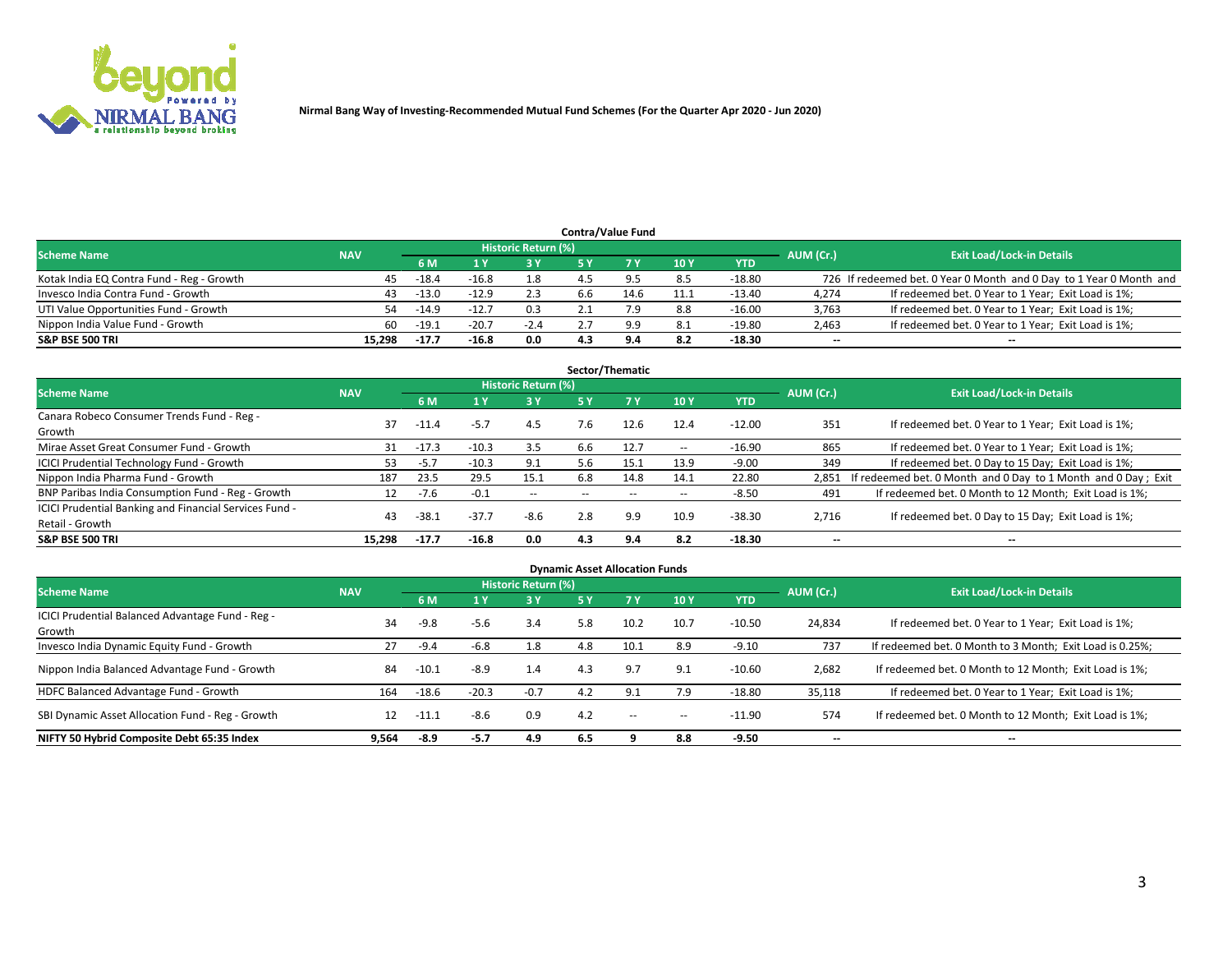

## **6 M 1 Y 3 Y 5 Y 7 Y 10 Y YTD** Kotak India EQ Contra Fund - Reg - Growth **45** -18.4 -16.8 1.8 4.5 9.5 -18.80 726 If redeemed bet. 0 Year 0 Month and 0 Day to 1 Year 0 Month and Invesco India Contra Fund - Growth **43** -13.0 -12.9 2.3 6.6 14.6 11.1 -13.40 4,274 If redeemed bet. 0 Year to 1 Year; Exit Load is 1%; UTI Value Opportunities Fund - Growth **54** -14.9 -12.7 0.3 2.1 7.9 8.8 -16.00 3,763 If redeemed bet. 0 Year to 1 Year; Exit Load is 1%; Nippon India Value Fund - Growth **60 -19.1** -20.7 -2.4 2.7 9.9 8.1 -19.80 2,463 If redeemed bet. 0 Year to 1 Year; Exit Load is 1%; **S&P BSE 500 TRI 15,298 -17.7 -16.8 0.0 4.3 9.4 8.2 -18.30 -- -- Contra/Value Fund Exit Load/Lock-in Details**<br>1Y 3Y 5Y 7Y 10Y YTD AUM (Cr.) Exit Load/Lock-in Details **Scheme Name NAV AUM (Cr.) NAV AUM (Cr.) NAV AUM (Cr.) AUM (Cr.) AUM (Cr.) AUM (Cr.)**

|                                                        |            |                |         |                            |     | Sector/Thematic |            |            |           |                                                               |
|--------------------------------------------------------|------------|----------------|---------|----------------------------|-----|-----------------|------------|------------|-----------|---------------------------------------------------------------|
| <b>Scheme Name</b>                                     | <b>NAV</b> |                |         | <b>Historic Return (%)</b> |     |                 |            |            | AUM (Cr.) | <b>Exit Load/Lock-in Details</b>                              |
|                                                        |            | 6 <sub>M</sub> | 1 Y     | 3Y                         | 5 Y |                 | 10Y        | <b>YTD</b> |           |                                                               |
| Canara Robeco Consumer Trends Fund - Reg -<br>Growth   | 37         | $-11.4$        | $-5.7$  | 4.5                        | 7.6 | 12.6            | 12.4       | $-12.00$   | 351       | If redeemed bet. 0 Year to 1 Year; Exit Load is 1%;           |
| Mirae Asset Great Consumer Fund - Growth               | 31         | $-17.3$        | $-10.3$ | 3.5                        | 6.6 | 12.7            | $\sim$ $-$ | $-16.90$   | 865       | If redeemed bet. 0 Year to 1 Year; Exit Load is 1%;           |
| <b>ICICI Prudential Technology Fund - Growth</b>       | 53.        | $-5.7$         | $-10.3$ | 9.1                        | 5.6 | 15.1            | 13.9       | $-9.00$    | 349       | If redeemed bet. 0 Day to 15 Day; Exit Load is 1%;            |
| Nippon India Pharma Fund - Growth                      | 187        | 23.5           | 29.5    | 15.1                       | 6.8 | 14.8            | 14.1       | 22.80      | 2.851     | If redeemed bet. 0 Month and 0 Day to 1 Month and 0 Day; Exit |
| BNP Paribas India Consumption Fund - Reg - Growth      | 12         | $-7.6$         | $-0.1$  | $\overline{\phantom{a}}$   | $-$ | $- -$           | $\sim$ $-$ | $-8.50$    | 491       | If redeemed bet. 0 Month to 12 Month; Exit Load is 1%;        |
| ICICI Prudential Banking and Financial Services Fund - | 43         | $-38.1$        | $-37.7$ | $-8.6$                     | 2.8 | 9.9             | 10.9       | $-38.30$   | 2,716     |                                                               |
| Retail - Growth                                        |            |                |         |                            |     |                 |            |            |           | If redeemed bet. 0 Day to 15 Day; Exit Load is 1%;            |
| <b>S&amp;P BSE 500 TRI</b>                             | 15.298     | $-17.7$        | $-16.8$ | 0.0                        | 4.3 | 9.4             | 8.2        | $-18.30$   | --        | --                                                            |

| <b>Dynamic Asset Allocation Funds</b>                      |            |         |         |                     |     |                          |       |            |                          |                                                          |  |  |
|------------------------------------------------------------|------------|---------|---------|---------------------|-----|--------------------------|-------|------------|--------------------------|----------------------------------------------------------|--|--|
| <b>Scheme Name</b>                                         | <b>NAV</b> |         |         | Historic Return (%) |     |                          |       |            | AUM (Cr.)                | <b>Exit Load/Lock-in Details</b>                         |  |  |
|                                                            |            | 6 M     |         | 3 Y<br>75 Y         |     | <b>7Y</b>                | 10Y   | <b>YTD</b> |                          |                                                          |  |  |
| ICICI Prudential Balanced Advantage Fund - Reg -<br>Growth | 34         | $-9.8$  | $-5.6$  | 3.4                 | 5.8 | 10.2                     | 10.7  | $-10.50$   | 24,834                   | If redeemed bet. 0 Year to 1 Year; Exit Load is 1%;      |  |  |
| Invesco India Dynamic Equity Fund - Growth                 | 27         | $-9.4$  | -6.8    | 1.8                 | 4.8 | 10.1                     | 8.9   | $-9.10$    | 737                      | If redeemed bet. 0 Month to 3 Month; Exit Load is 0.25%; |  |  |
| Nippon India Balanced Advantage Fund - Growth              | 84         | $-10.1$ | $-8.9$  | 1.4                 | 4.3 | 9.7                      | 9.1   | $-10.60$   | 2,682                    | If redeemed bet. 0 Month to 12 Month; Exit Load is 1%;   |  |  |
| HDFC Balanced Advantage Fund - Growth                      | 164        | $-18.6$ | $-20.3$ | $-0.7$              | 4.2 |                          | 7.9   | $-18.80$   | 35,118                   | If redeemed bet. 0 Year to 1 Year; Exit Load is 1%;      |  |  |
| SBI Dynamic Asset Allocation Fund - Reg - Growth           | 12         | $-11.1$ | $-8.6$  | 0.9                 | 4.2 | $\overline{\phantom{a}}$ | $- -$ | $-11.90$   | 574                      | If redeemed bet. 0 Month to 12 Month; Exit Load is 1%;   |  |  |
| NIFTY 50 Hybrid Composite Debt 65:35 Index                 | 9,564      | $-8.9$  | -5.7    | 4.9                 | 6.5 |                          | 8.8   | $-9.50$    | $\overline{\phantom{a}}$ | $- -$                                                    |  |  |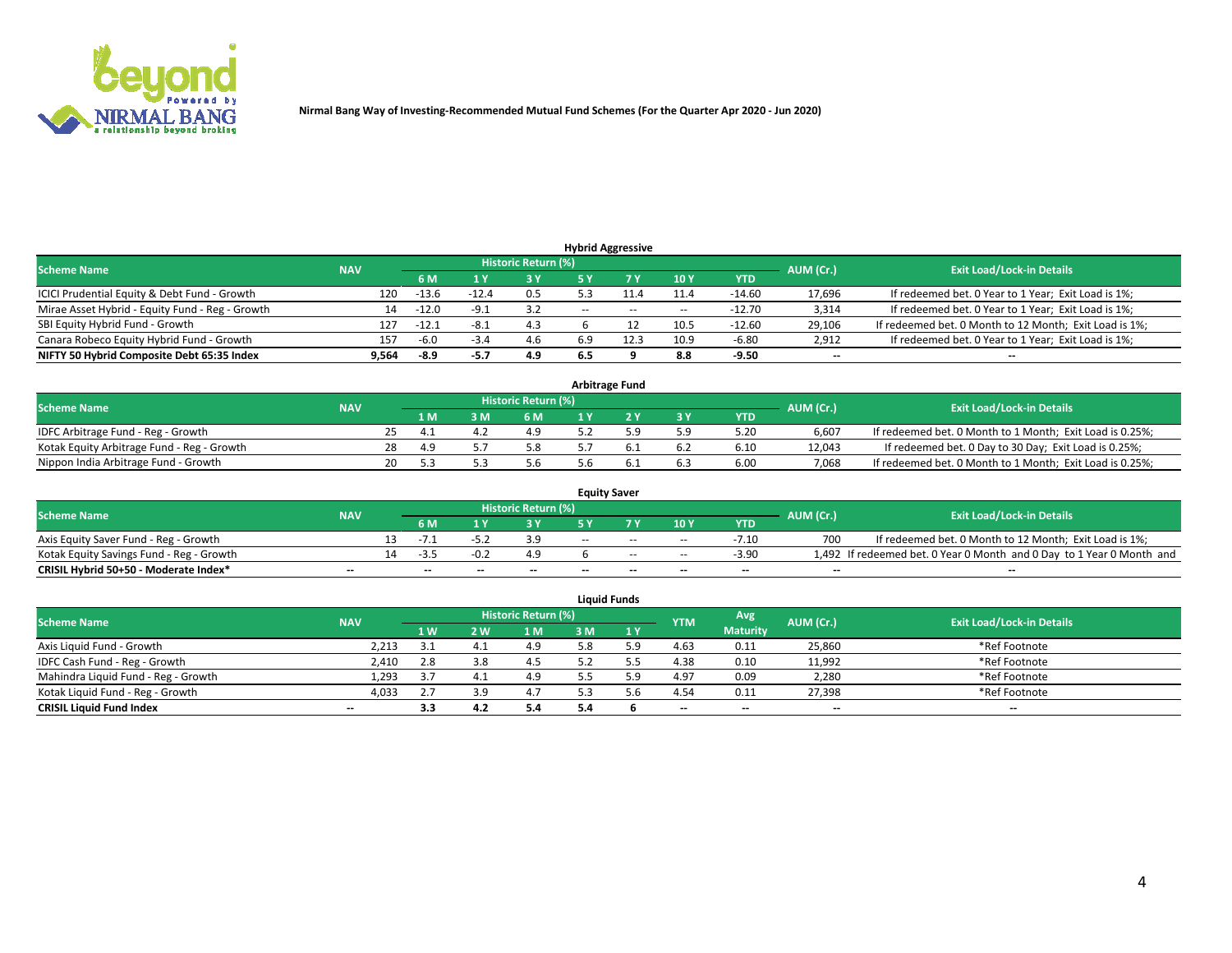

| <b>Hybrid Aggressive</b>                        |            |         |         |                     |        |       |                          |            |                          |                                                        |  |  |  |
|-------------------------------------------------|------------|---------|---------|---------------------|--------|-------|--------------------------|------------|--------------------------|--------------------------------------------------------|--|--|--|
| <b>Scheme Name</b>                              | <b>NAV</b> |         |         | Historic Return (%) |        |       |                          |            | AUM (Cr.)                | <b>Exit Load/Lock-in Details</b>                       |  |  |  |
|                                                 |            | 6 M     |         | 73 Y                | 5 Y    |       | 10Y                      | <b>YTD</b> |                          |                                                        |  |  |  |
| ICICI Prudential Equity & Debt Fund - Growth    | 120        | $-13.6$ | $-12.4$ | 0.5                 |        |       | 11.4                     | $-14.60$   | 17,696                   | If redeemed bet. 0 Year to 1 Year; Exit Load is 1%;    |  |  |  |
| Mirae Asset Hybrid - Equity Fund - Reg - Growth | 14         | $-12.0$ | $-9.1$  | 3.2                 | $\sim$ | $- -$ | $\overline{\phantom{a}}$ | $-12.70$   | 3,314                    | If redeemed bet. 0 Year to 1 Year; Exit Load is 1%;    |  |  |  |
| SBI Equity Hybrid Fund - Growth                 | 127        | $-12.1$ | $-8.1$  | 4.3                 |        |       | 10.5                     | $-12.60$   | 29,106                   | If redeemed bet. 0 Month to 12 Month; Exit Load is 1%; |  |  |  |
| Canara Robeco Equity Hybrid Fund - Growth       | 157        | -6.0    | $-3.4$  | 4.6                 | 6.9    |       | 10.9                     | $-6.80$    | 2,912                    | If redeemed bet. 0 Year to 1 Year; Exit Load is 1%;    |  |  |  |
| NIFTY 50 Hybrid Composite Debt 65:35 Index      | 9.564      | -8.9    | -5.7    | 4.9                 | 6.5    |       | 8.8                      | $-9.50$    | $\overline{\phantom{a}}$ | $\overline{\phantom{a}}$                               |  |  |  |

| <b>Arbitrage Fund</b>                      |            |     |     |          |                     |     |  |     |            |           |                                                          |  |  |
|--------------------------------------------|------------|-----|-----|----------|---------------------|-----|--|-----|------------|-----------|----------------------------------------------------------|--|--|
| <b>Scheme Name</b>                         | <b>NAV</b> |     |     |          | Historic Return (%) |     |  |     |            | AUM (Cr.) | <b>Exit Load/Lock-in Details</b>                         |  |  |
|                                            |            |     | 1 M | <b>M</b> | 6 M                 | 1 V |  | 3 Y | <b>YTD</b> |           |                                                          |  |  |
| IDFC Arbitrage Fund - Reg - Growth         |            |     |     |          | 4.9                 |     |  | 5.9 | 5.20       | 6.607     | If redeemed bet. 0 Month to 1 Month; Exit Load is 0.25%; |  |  |
| Kotak Equity Arbitrage Fund - Reg - Growth |            | 28  | 4.9 |          | 5.8                 |     |  | 6.2 | 6.10       | 12.043    | If redeemed bet. 0 Day to 30 Day; Exit Load is 0.25%;    |  |  |
| Nippon India Arbitrage Fund - Growth       |            | 20. |     |          | 5.6                 |     |  | 6.3 | 6.00       | 7.068     | If redeemed bet. 0 Month to 1 Month; Exit Load is 0.25%; |  |  |

| <b>Equity Saver</b>                      |            |  |     |       |                     |     |       |                          |            |           |                                                                       |  |  |  |
|------------------------------------------|------------|--|-----|-------|---------------------|-----|-------|--------------------------|------------|-----------|-----------------------------------------------------------------------|--|--|--|
| <b>Scheme Name</b>                       | <b>NAV</b> |  |     |       | Historic Return (%) |     |       |                          |            | AUM (Cr.) | <b>Exit Load/Lock-in Details</b>                                      |  |  |  |
|                                          |            |  | 6 M |       | ט כ                 |     |       | 10Y                      | <b>YTD</b> |           |                                                                       |  |  |  |
| Axis Equity Saver Fund - Reg - Growth    |            |  |     |       |                     | $-$ | $- -$ | $- -$                    | -7.10      |           | If redeemed bet. 0 Month to 12 Month; Exit Load is 1%;                |  |  |  |
| Kotak Equity Savings Fund - Reg - Growth |            |  |     |       |                     |     | $- -$ | $\sim$ $-$               | $-3.90$    |           | 1,492 If redeemed bet. 0 Year 0 Month and 0 Day to 1 Year 0 Month and |  |  |  |
| CRISIL Hybrid 50+50 - Moderate Index*    | $- -$      |  | $-$ | $- -$ | $- -$               | $-$ | $-$   | $\overline{\phantom{a}}$ | $- -$      | --        | $\overline{\phantom{a}}$                                              |  |  |  |

| <b>Liquid Funds</b>                 |                          |     |     |                     |     |          |            |                 |           |                                  |  |  |  |  |
|-------------------------------------|--------------------------|-----|-----|---------------------|-----|----------|------------|-----------------|-----------|----------------------------------|--|--|--|--|
| <b>Scheme Name</b>                  | <b>NAV</b>               |     |     | Historic Return (%) |     |          | <b>YTM</b> | Avg             | AUM (Cr.) | <b>Exit Load/Lock-in Details</b> |  |  |  |  |
|                                     |                          | 1W  | 2 W | 1 M                 | 3 M | 1 Y      |            | <b>Maturity</b> |           |                                  |  |  |  |  |
| Axis Liquid Fund - Growth           | 2,213                    | ـــ |     | 4.9                 | 5.8 |          | 4.63       | 0.11            | 25,860    | *Ref Footnote                    |  |  |  |  |
| IDFC Cash Fund - Reg - Growth       | 2,410                    | 2.8 | 3.8 | 4.5                 |     |          | 4.38       | 0.10            | 11,992    | *Ref Footnote                    |  |  |  |  |
| Mahindra Liquid Fund - Reg - Growth | 1,293                    | 3.7 | 4.1 | 4.9                 |     | $\Omega$ | 4.97       | 0.09            | 2,280     | *Ref Footnote                    |  |  |  |  |
| Kotak Liquid Fund - Reg - Growth    | 4,033                    | 2.7 | 3.9 | 4.7                 |     |          | 4.54       | 0.11            | 27,398    | *Ref Footnote                    |  |  |  |  |
| <b>CRISIL Liquid Fund Index</b>     | $\overline{\phantom{a}}$ | 3.3 |     | 5.4                 | 5.4 |          | $- -$      | $- -$           | $- -$     | $-$                              |  |  |  |  |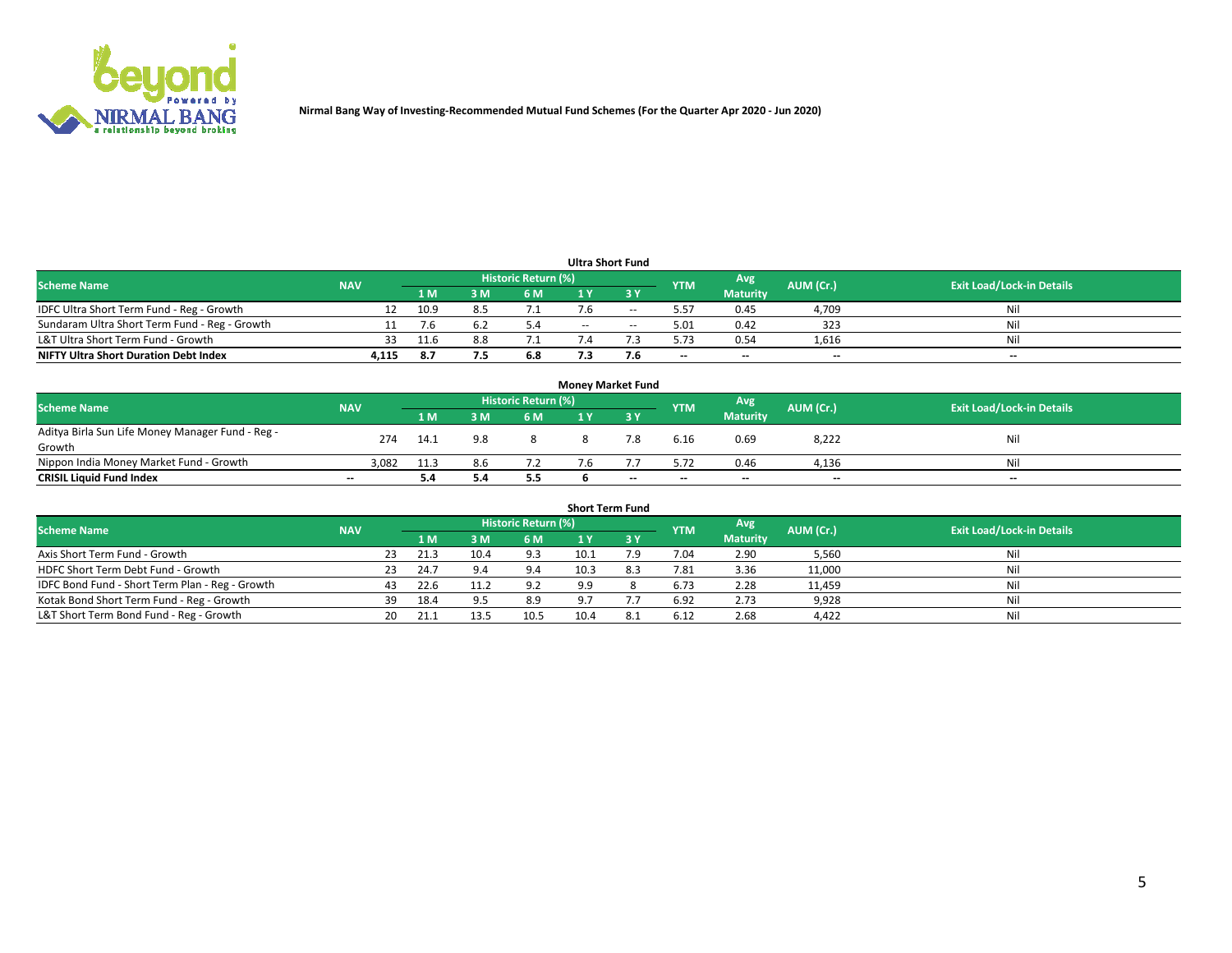

| <b>Ultra Short Fund</b>                       |            |      |     |                     |            |        |                          |                          |           |                                  |  |  |  |
|-----------------------------------------------|------------|------|-----|---------------------|------------|--------|--------------------------|--------------------------|-----------|----------------------------------|--|--|--|
| <b>Scheme Name</b>                            | <b>NAV</b> |      |     | Historic Return (%) |            |        | <b>YTM</b>               | Avg                      | AUM (Cr.) | <b>Exit Load/Lock-in Details</b> |  |  |  |
|                                               |            | 4 M  |     | 6 M                 |            |        |                          | <b>Maturity</b>          |           |                                  |  |  |  |
| IDFC Ultra Short Term Fund - Reg - Growth     |            | 10.9 | 8.5 | 7.1                 | 7.6        | $- -$  | 5.57                     | 0.45                     | 4,709     | Nil                              |  |  |  |
| Sundaram Ultra Short Term Fund - Reg - Growth |            | '.h  |     |                     | $\sim$ $-$ | $\sim$ | 5.01                     | 0.42                     | 323       | Nil                              |  |  |  |
| L&T Ultra Short Term Fund - Growth            | 33.        | 11.6 |     |                     |            |        | 5.73                     | 0.54                     | 1,616     | Nil                              |  |  |  |
| <b>NIFTY Ultra Short Duration Debt Index</b>  | 4,115      | 8.7  | 7.5 | 6.8                 |            |        | $\overline{\phantom{a}}$ | $\overline{\phantom{a}}$ | $-$       | $\sim$                           |  |  |  |

| <b>Money Market Fund</b>                         |                          |      |     |                            |  |           |                          |                 |           |                                  |  |  |  |  |
|--------------------------------------------------|--------------------------|------|-----|----------------------------|--|-----------|--------------------------|-----------------|-----------|----------------------------------|--|--|--|--|
| <b>Scheme Name</b>                               | <b>NAV</b>               |      |     | <b>Historic Return (%)</b> |  |           | <b>YTM</b>               | Avg             | AUM (Cr.) | <b>Exit Load/Lock-in Details</b> |  |  |  |  |
|                                                  |                          | 1 M  |     | 6 M                        |  | <b>3Y</b> |                          | <b>Maturity</b> |           |                                  |  |  |  |  |
| Aditya Birla Sun Life Money Manager Fund - Reg - | 274                      | 14.1 | 9.8 |                            |  |           | 6.16                     | 0.69            | 8,222     | Nil                              |  |  |  |  |
| Growth                                           |                          |      |     |                            |  |           |                          |                 |           |                                  |  |  |  |  |
| Nippon India Money Market Fund - Growth          | 3,082                    | 11.3 | 8.6 |                            |  |           | 5.72                     | 0.46            | 4,136     | Nil                              |  |  |  |  |
| <b>CRISIL Liquid Fund Index</b>                  | $\overline{\phantom{a}}$ | 5.4  | 5.4 | 5.5                        |  | $- -$     | $\overline{\phantom{a}}$ | $\sim$          | $-$       | $-$                              |  |  |  |  |

| <b>Short Term Fund</b>                          |            |     |      |      |                     |      |     |            |                 |           |                                  |  |
|-------------------------------------------------|------------|-----|------|------|---------------------|------|-----|------------|-----------------|-----------|----------------------------------|--|
| <b>Scheme Name</b>                              | <b>NAV</b> |     |      |      | Historic Return (%) |      |     | <b>YTM</b> | Avg             | AUM (Cr.) | <b>Exit Load/Lock-in Details</b> |  |
|                                                 |            |     | 1 M  | 3 M  | 6 <sub>M</sub>      |      |     |            | <b>Maturity</b> |           |                                  |  |
| Axis Short Term Fund - Growth                   |            | 23  | 21.3 | 10.4 | 9.3                 | 10.1 | 7.9 | 7.04       | 2.90            | 5,560     | Nil                              |  |
| HDFC Short Term Debt Fund - Growth              |            |     | 24.7 |      | 9.4                 | 10.3 |     | 7.81       | 3.36            | 11,000    |                                  |  |
| IDFC Bond Fund - Short Term Plan - Reg - Growth |            |     | 22.6 | 11.2 | 9.2                 | 9.9  |     | 6.73       | 2.28            | 11,459    | Nil                              |  |
| Kotak Bond Short Term Fund - Reg - Growth       |            | 39. | 18.4 |      | 8.9                 | 9.7  |     | 6.92       | 2.73            | 9,928     | Nil                              |  |
| L&T Short Term Bond Fund - Reg - Growth         |            | 20  | 21.1 | 13.5 | 10.5                | 10.4 |     | 6.12       | 2.68            | 4,422     | Nil                              |  |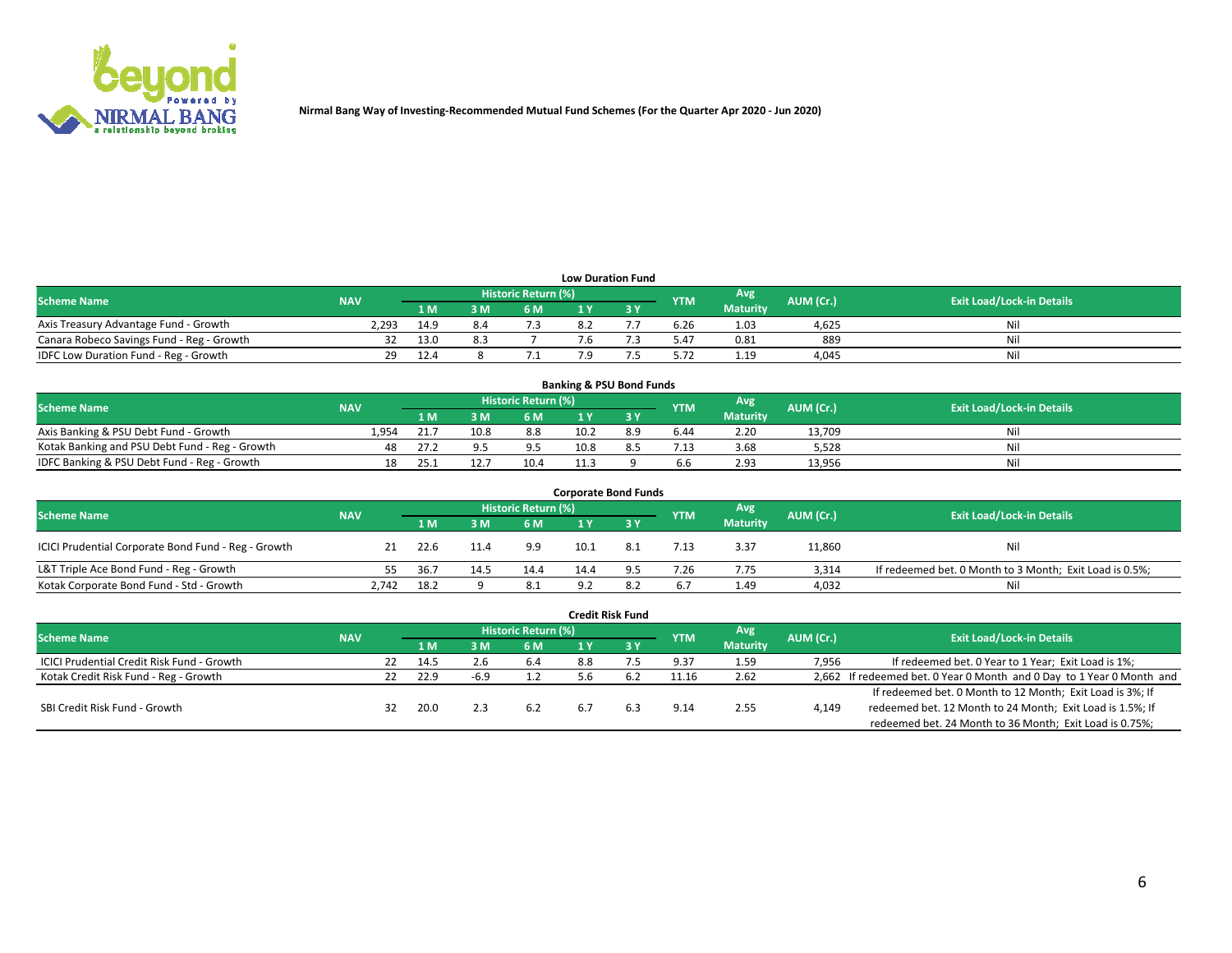

| <b>Low Duration Fund</b>                  |            |      |     |                            |  |  |            |                 |           |                                  |  |  |  |  |
|-------------------------------------------|------------|------|-----|----------------------------|--|--|------------|-----------------|-----------|----------------------------------|--|--|--|--|
| <b>Scheme Name</b>                        | <b>NAV</b> |      |     | <b>Historic Return (%)</b> |  |  | <b>YTM</b> | Avg             | AUM (Cr.) | <b>Exit Load/Lock-in Details</b> |  |  |  |  |
|                                           |            | 1 M  | 3 M | 6 M                        |  |  |            | <b>Maturity</b> |           |                                  |  |  |  |  |
| Axis Treasury Advantage Fund - Growth     | 2,293      | 14.9 |     |                            |  |  | 6.26       | 1.03            | 4,625     | Nil                              |  |  |  |  |
| Canara Robeco Savings Fund - Reg - Growth | 32         | 13.0 |     |                            |  |  | 5.47       | 0.81            | 889       | Nil                              |  |  |  |  |
| IDFC Low Duration Fund - Reg - Growth     | 29.        | 12.4 |     |                            |  |  | 5.72       | 1.19            | 4,045     | Nil                              |  |  |  |  |

| <b>Banking &amp; PSU Bond Funds</b>            |            |      |      |                            |      |    |            |                 |           |                                  |  |  |  |
|------------------------------------------------|------------|------|------|----------------------------|------|----|------------|-----------------|-----------|----------------------------------|--|--|--|
| <b>Scheme Name</b>                             | <b>NAV</b> |      |      | <b>Historic Return (%)</b> |      |    | <b>YTM</b> | Avg             | AUM (Cr.) | <b>Exit Load/Lock-in Details</b> |  |  |  |
|                                                |            | l M  |      | 6 M                        |      |    |            | <b>Maturity</b> |           |                                  |  |  |  |
| Axis Banking & PSU Debt Fund - Growth          | 1.954      | 21.7 | 10.8 | 8.8                        | 10.2 | 89 | 6.44       | 2.20            | 13.709    | Ni                               |  |  |  |
| Kotak Banking and PSU Debt Fund - Reg - Growth | 48         | 27.2 |      | 9.5                        | 10.8 |    | 7.13       | 3.68            | 5,528     | Ni                               |  |  |  |
| IDFC Banking & PSU Debt Fund - Reg - Growth    | 18         | د.25 | 12.7 | 10.4                       |      |    | 6.6        | 2.93            | 13.956    | Ni                               |  |  |  |

| <b>Corporate Bond Funds</b>                         |            |                |      |                     |      |  |            |                 |           |                                                         |  |  |  |
|-----------------------------------------------------|------------|----------------|------|---------------------|------|--|------------|-----------------|-----------|---------------------------------------------------------|--|--|--|
| <b>Scheme Name</b>                                  | <b>NAV</b> |                |      | Historic Return (%) |      |  | <b>YTM</b> | Avg             | AUM (Cr.) | <b>Exit Load/Lock-in Details</b>                        |  |  |  |
|                                                     |            | 1 <sub>M</sub> | 3 M  | 6 M                 |      |  |            | <b>Maturity</b> |           |                                                         |  |  |  |
| ICICI Prudential Corporate Bond Fund - Reg - Growth |            | 22.6           |      | 9.9                 |      |  | 7.13       | 3.37            | 11,860    | Nil                                                     |  |  |  |
| L&T Triple Ace Bond Fund - Reg - Growth             |            | 36.7           | 14.5 | 14.4                | 14.4 |  | 7.26       | 7.75            | 3,314     | If redeemed bet. 0 Month to 3 Month; Exit Load is 0.5%; |  |  |  |
| Kotak Corporate Bond Fund - Std - Growth            | 2.742      | 18.2           |      | 8.1                 | 9.2  |  | 6.7        | 1.49            | 4.032     | Nil                                                     |  |  |  |

| <b>Credit Risk Fund</b>                    |            |    |      |      |                     |     |     |            |                 |           |                                                                       |  |  |  |
|--------------------------------------------|------------|----|------|------|---------------------|-----|-----|------------|-----------------|-----------|-----------------------------------------------------------------------|--|--|--|
| <b>Scheme Name</b>                         | <b>NAV</b> |    |      |      | Historic Return (%) |     |     | <b>YTM</b> | Avg             | AUM (Cr.) | <b>Exit Load/Lock-in Details</b>                                      |  |  |  |
|                                            |            |    | 1 M  | የ M  | 6 M                 | 1 Y | 73Y |            | <b>Maturity</b> |           |                                                                       |  |  |  |
| ICICI Prudential Credit Risk Fund - Growth |            | 22 | 14.5 |      | 6.4                 | 8.8 |     | 9.37       | 1.59            | 7,956     | If redeemed bet. 0 Year to 1 Year; Exit Load is 1%;                   |  |  |  |
| Kotak Credit Risk Fund - Reg - Growth      |            |    | 22.9 | -6.9 |                     | 5.6 |     | 11.16      | 2.62            |           | 2,662 If redeemed bet. 0 Year 0 Month and 0 Day to 1 Year 0 Month and |  |  |  |
|                                            |            |    |      |      |                     |     |     |            |                 |           | If redeemed bet. 0 Month to 12 Month; Exit Load is 3%; If             |  |  |  |
| SBI Credit Risk Fund - Growth              |            | 32 | 20.0 |      | 6.2                 |     |     | 9.14       | 2.55            | 4,149     | redeemed bet. 12 Month to 24 Month; Exit Load is 1.5%; If             |  |  |  |
|                                            |            |    |      |      |                     |     |     |            |                 |           | redeemed bet. 24 Month to 36 Month; Exit Load is 0.75%;               |  |  |  |